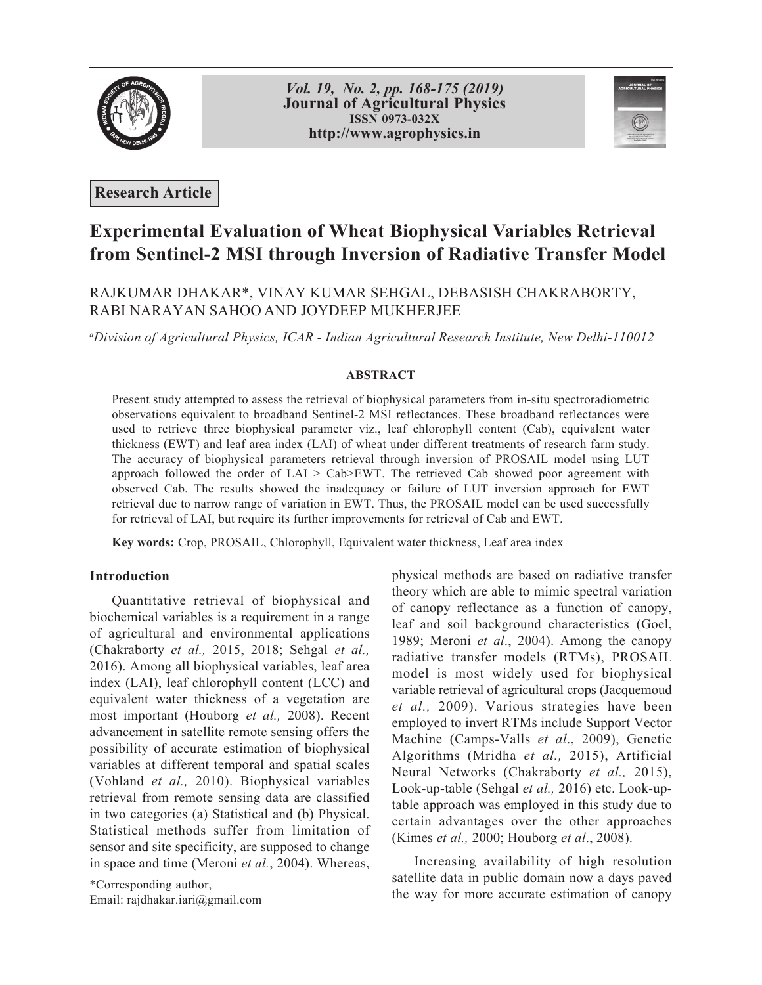



**Research Article**

# **Experimental Evaluation of Wheat Biophysical Variables Retrieval from Sentinel-2 MSI through Inversion of Radiative Transfer Model**

# RAJKUMAR DHAKAR\*, VINAY KUMAR SEHGAL, DEBASISH CHAKRABORTY, RABI NARAYAN SAHOO AND JOYDEEP MUKHERJEE

*a Division of Agricultural Physics, ICAR - Indian Agricultural Research Institute, New Delhi-110012*

#### **ABSTRACT**

Present study attempted to assess the retrieval of biophysical parameters from in-situ spectroradiometric observations equivalent to broadband Sentinel-2 MSI reflectances. These broadband reflectances were used to retrieve three biophysical parameter viz., leaf chlorophyll content (Cab), equivalent water thickness (EWT) and leaf area index (LAI) of wheat under different treatments of research farm study. The accuracy of biophysical parameters retrieval through inversion of PROSAIL model using LUT approach followed the order of  $LAI > Cab > EWT$ . The retrieved Cab showed poor agreement with observed Cab. The results showed the inadequacy or failure of LUT inversion approach for EWT retrieval due to narrow range of variation in EWT. Thus, the PROSAIL model can be used successfully for retrieval of LAI, but require its further improvements for retrieval of Cab and EWT.

**Key words:** Crop, PROSAIL, Chlorophyll, Equivalent water thickness, Leaf area index

#### **Introduction**

Quantitative retrieval of biophysical and biochemical variables is a requirement in a range of agricultural and environmental applications (Chakraborty *et al.,* 2015, 2018; Sehgal *et al.,* 2016). Among all biophysical variables, leaf area index (LAI), leaf chlorophyll content (LCC) and equivalent water thickness of a vegetation are most important (Houborg *et al.,* 2008). Recent advancement in satellite remote sensing offers the possibility of accurate estimation of biophysical variables at different temporal and spatial scales (Vohland *et al.,* 2010). Biophysical variables retrieval from remote sensing data are classified in two categories (a) Statistical and (b) Physical. Statistical methods suffer from limitation of sensor and site specificity, are supposed to change in space and time (Meroni *et al.*, 2004). Whereas,

Email: rajdhakar.iari@gmail.com

physical methods are based on radiative transfer theory which are able to mimic spectral variation of canopy reflectance as a function of canopy, leaf and soil background characteristics (Goel, 1989; Meroni *et al*., 2004). Among the canopy radiative transfer models (RTMs), PROSAIL model is most widely used for biophysical variable retrieval of agricultural crops (Jacquemoud *et al.,* 2009). Various strategies have been employed to invert RTMs include Support Vector Machine (Camps-Valls *et al*., 2009), Genetic Algorithms (Mridha *et al.,* 2015), Artificial Neural Networks (Chakraborty *et al.,* 2015), Look-up-table (Sehgal *et al.,* 2016) etc. Look-uptable approach was employed in this study due to certain advantages over the other approaches (Kimes *et al.,* 2000; Houborg *et al*., 2008).

Increasing availability of high resolution satellite data in public domain now a days paved \*Corresponding author,<br>
Email: raidbakar iari@omail.com extension of canopy the way for more accurate estimation of canopy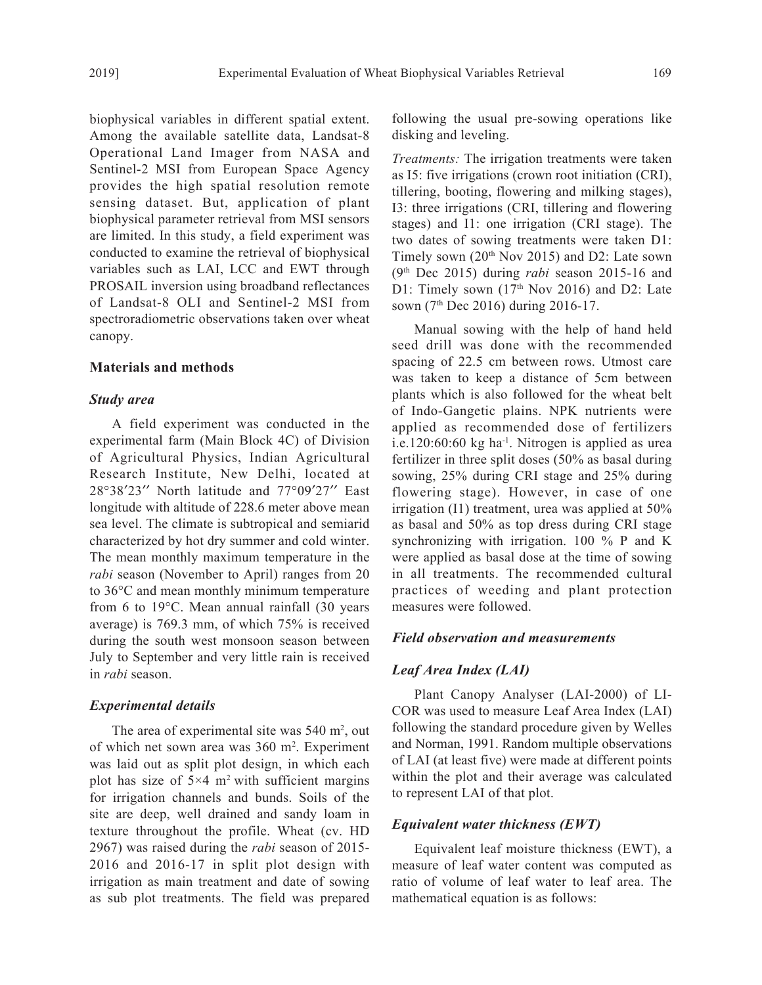biophysical variables in different spatial extent. Among the available satellite data, Landsat-8 Operational Land Imager from NASA and Sentinel-2 MSI from European Space Agency provides the high spatial resolution remote sensing dataset. But, application of plant biophysical parameter retrieval from MSI sensors are limited. In this study, a field experiment was conducted to examine the retrieval of biophysical variables such as LAI, LCC and EWT through PROSAIL inversion using broadband reflectances of Landsat-8 OLI and Sentinel-2 MSI from spectroradiometric observations taken over wheat canopy.

#### **Materials and methods**

#### *Study area*

A field experiment was conducted in the experimental farm (Main Block 4C) of Division of Agricultural Physics, Indian Agricultural Research Institute, New Delhi, located at 28°38′23′′ North latitude and 77°09′27′′ East longitude with altitude of 228.6 meter above mean sea level. The climate is subtropical and semiarid characterized by hot dry summer and cold winter. The mean monthly maximum temperature in the *rabi* season (November to April) ranges from 20 to 36°C and mean monthly minimum temperature from 6 to 19°C. Mean annual rainfall (30 years average) is 769.3 mm, of which 75% is received during the south west monsoon season between July to September and very little rain is received in *rabi* season.

#### *Experimental details*

The area of experimental site was  $540 \text{ m}^2$ , out of which net sown area was 360 m<sup>2</sup>. Experiment was laid out as split plot design, in which each plot has size of  $5\times4$  m<sup>2</sup> with sufficient margins for irrigation channels and bunds. Soils of the site are deep, well drained and sandy loam in texture throughout the profile. Wheat (cv. HD 2967) was raised during the *rabi* season of 2015- 2016 and 2016-17 in split plot design with irrigation as main treatment and date of sowing as sub plot treatments. The field was prepared

following the usual pre-sowing operations like disking and leveling.

*Treatments:* The irrigation treatments were taken as I5: five irrigations (crown root initiation (CRI), tillering, booting, flowering and milking stages), I3: three irrigations (CRI, tillering and flowering stages) and I1: one irrigation (CRI stage). The two dates of sowing treatments were taken D1: Timely sown  $(20<sup>th</sup> Nov 2015)$  and D2: Late sown (9th Dec 2015) during *rabi* season 2015-16 and D1: Timely sown (17<sup>th</sup> Nov 2016) and D2: Late sown (7<sup>th</sup> Dec 2016) during 2016-17.

Manual sowing with the help of hand held seed drill was done with the recommended spacing of 22.5 cm between rows. Utmost care was taken to keep a distance of 5cm between plants which is also followed for the wheat belt of Indo-Gangetic plains. NPK nutrients were applied as recommended dose of fertilizers  $i.e. 120:60:60 kg$  ha<sup>-1</sup>. Nitrogen is applied as urea fertilizer in three split doses (50% as basal during sowing, 25% during CRI stage and 25% during flowering stage). However, in case of one irrigation (I1) treatment, urea was applied at 50% as basal and 50% as top dress during CRI stage synchronizing with irrigation. 100 % P and K were applied as basal dose at the time of sowing in all treatments. The recommended cultural practices of weeding and plant protection measures were followed.

#### *Field observation and measurements*

#### *Leaf Area Index (LAI)*

Plant Canopy Analyser (LAI-2000) of LI-COR was used to measure Leaf Area Index (LAI) following the standard procedure given by Welles and Norman, 1991. Random multiple observations of LAI (at least five) were made at different points within the plot and their average was calculated to represent LAI of that plot.

#### *Equivalent water thickness (EWT)*

Equivalent leaf moisture thickness (EWT), a measure of leaf water content was computed as ratio of volume of leaf water to leaf area. The mathematical equation is as follows: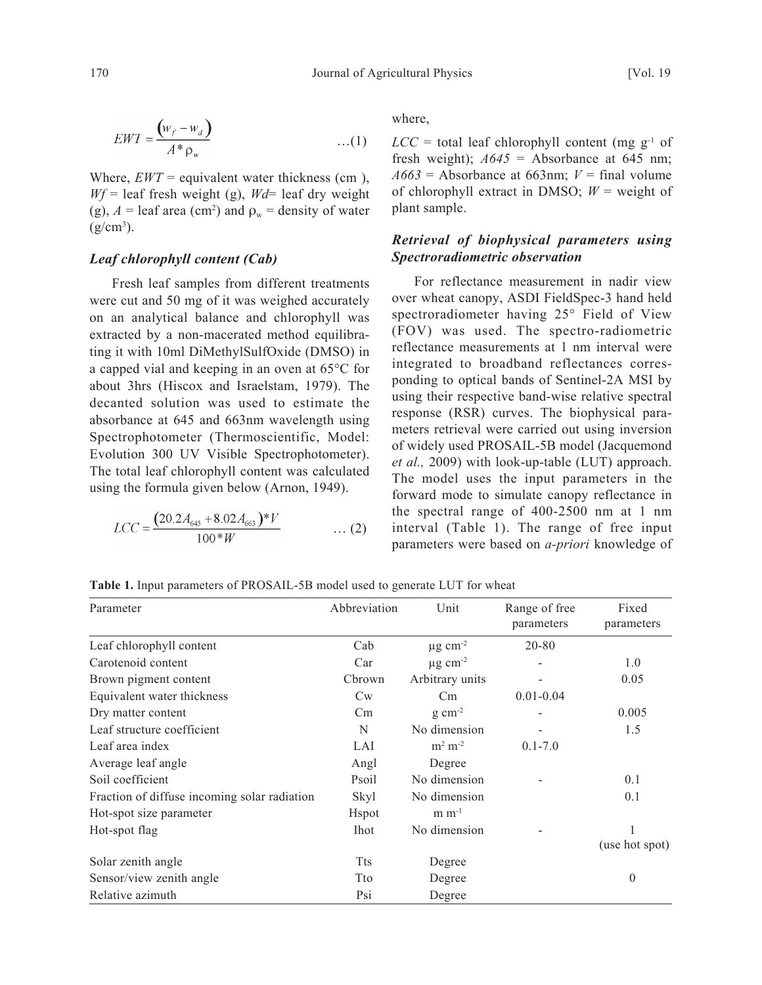$$
EWT = \frac{\left(\boldsymbol{w}_f - \boldsymbol{w}_d\right)}{A^* \rho_w} \tag{1}
$$

Where,  $EWT =$  equivalent water thickness (cm),  $Wf =$  leaf fresh weight (g),  $Wd =$  leaf dry weight (g),  $A =$  leaf area (cm<sup>2</sup>) and  $\rho_w =$  density of water  $(g/cm<sup>3</sup>)$ .

#### *Leaf chlorophyll content (Cab)*

Fresh leaf samples from different treatments were cut and 50 mg of it was weighed accurately on an analytical balance and chlorophyll was extracted by a non-macerated method equilibrating it with 10ml DiMethylSulfOxide (DMSO) in a capped vial and keeping in an oven at 65°C for about 3hrs (Hiscox and Israelstam, 1979). The decanted solution was used to estimate the absorbance at 645 and 663nm wavelength using Spectrophotometer (Thermoscientific, Model: Evolution 300 UV Visible Spectrophotometer). The total leaf chlorophyll content was calculated using the formula given below (Arnon, 1949).

$$
LCC = \frac{(20.2A_{645} + 8.02A_{663})^*V}{100^*W} \qquad \qquad \dots (2)
$$

where,

 $LCC$  = total leaf chlorophyll content (mg  $g^{-1}$  of fresh weight); *A645* = Absorbance at 645 nm;  $A663$  = Absorbance at 663nm;  $V =$  final volume of chlorophyll extract in DMSO;  $W =$  weight of plant sample.

# *Retrieval of biophysical parameters using Spectroradiometric observation*

For reflectance measurement in nadir view over wheat canopy, ASDI FieldSpec-3 hand held spectroradiometer having 25° Field of View (FOV) was used. The spectro-radiometric reflectance measurements at 1 nm interval were integrated to broadband reflectances corresponding to optical bands of Sentinel-2A MSI by using their respective band-wise relative spectral response (RSR) curves. The biophysical parameters retrieval were carried out using inversion of widely used PROSAIL-5B model (Jacquemond *et al.,* 2009) with look-up-table (LUT) approach. The model uses the input parameters in the forward mode to simulate canopy reflectance in the spectral range of 400-2500 nm at 1 nm interval (Table 1). The range of free input parameters were based on *a-priori* knowledge of

**Table 1.** Input parameters of PROSAIL-5B model used to generate LUT for wheat

| Parameter                                    | Abbreviation  | Unit                     | Range of free<br>parameters | Fixed<br>parameters |
|----------------------------------------------|---------------|--------------------------|-----------------------------|---------------------|
| Leaf chlorophyll content                     | Cab           | $\mu$ g cm <sup>-2</sup> | 20-80                       |                     |
| Carotenoid content                           | Car           | $\mu$ g cm <sup>-2</sup> |                             | 1.0                 |
| Brown pigment content                        | Cbrown        | Arbitrary units          |                             | 0.05                |
| Equivalent water thickness                   | $\mathrm{Cw}$ | Cm                       | $0.01 - 0.04$               |                     |
| Dry matter content                           | Cm            | $g \text{ cm}^{-2}$      |                             | 0.005               |
| Leaf structure coefficient                   | N             | No dimension             |                             | 1.5                 |
| Leaf area index                              | LAI           | $m^2 m^{-2}$             | $0.1 - 7.0$                 |                     |
| Average leaf angle                           | Angl          | Degree                   |                             |                     |
| Soil coefficient                             | Psoil         | No dimension             |                             | 0.1                 |
| Fraction of diffuse incoming solar radiation | Skyl          | No dimension             |                             | 0.1                 |
| Hot-spot size parameter                      | <b>H</b> spot | $m m^{-1}$               |                             |                     |
| Hot-spot flag                                | <b>Ihot</b>   | No dimension             |                             |                     |
|                                              |               |                          |                             | (use hot spot)      |
| Solar zenith angle                           | <b>Tts</b>    | Degree                   |                             |                     |
| Sensor/view zenith angle                     | Tto           | Degree                   |                             | $\mathbf{0}$        |
| Relative azimuth                             | Psi           | Degree                   |                             |                     |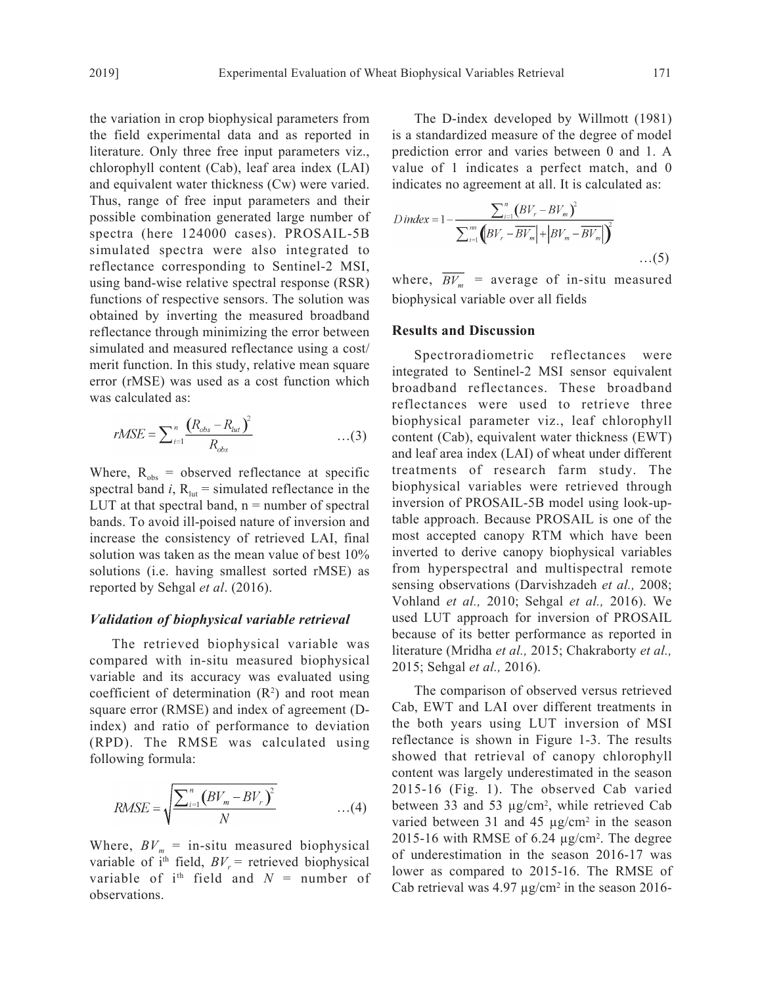the variation in crop biophysical parameters from the field experimental data and as reported in literature. Only three free input parameters viz., chlorophyll content (Cab), leaf area index (LAI) and equivalent water thickness (Cw) were varied. Thus, range of free input parameters and their possible combination generated large number of spectra (here 124000 cases). PROSAIL-5B simulated spectra were also integrated to reflectance corresponding to Sentinel-2 MSI, using band-wise relative spectral response (RSR) functions of respective sensors. The solution was obtained by inverting the measured broadband reflectance through minimizing the error between simulated and measured reflectance using a cost/ merit function. In this study, relative mean square error (rMSE) was used as a cost function which was calculated as:

$$
rMSE = \sum_{i=1}^{n} \frac{(R_{obs} - R_{iut})^2}{R_{obs}}
$$
...(3)

Where,  $R_{obs}$  = observed reflectance at specific spectral band  $i$ ,  $R_{\text{lat}}$  = simulated reflectance in the LUT at that spectral band,  $n =$  number of spectral bands. To avoid ill-poised nature of inversion and increase the consistency of retrieved LAI, final solution was taken as the mean value of best 10% solutions (i.e. having smallest sorted rMSE) as reported by Sehgal *et al*. (2016).

#### *Validation of biophysical variable retrieval*

The retrieved biophysical variable was compared with in-situ measured biophysical variable and its accuracy was evaluated using coefficient of determination  $(R^2)$  and root mean square error (RMSE) and index of agreement (Dindex) and ratio of performance to deviation (RPD). The RMSE was calculated using following formula:

RMSE = 
$$
\sqrt{\frac{\sum_{i=1}^{n} (BV_m - BV_r)^2}{N}}
$$
 ...(4)

Where,  $BV_m =$  in-situ measured biophysical variable of i<sup>th</sup> field,  $BV_r$  = retrieved biophysical variable of  $i<sup>th</sup>$  field and  $N =$  number of observations.

The D-index developed by Willmott (1981) is a standardized measure of the degree of model prediction error and varies between 0 and 1. A value of 1 indicates a perfect match, and 0 indicates no agreement at all. It is calculated as:

D index = 1 - 
$$
\frac{\sum_{i=1}^{n} (BV_r - BV_m)^2}{\sum_{i=1}^{m} (BV_r - BV_m) + |BV_m - BV_m|)^2}
$$
...(5)

where,  $\overline{BV_m}$  = average of in-situ measured biophysical variable over all fields

#### **Results and Discussion**

Spectroradiometric reflectances were integrated to Sentinel-2 MSI sensor equivalent broadband reflectances. These broadband reflectances were used to retrieve three biophysical parameter viz., leaf chlorophyll content (Cab), equivalent water thickness (EWT) and leaf area index (LAI) of wheat under different treatments of research farm study. The biophysical variables were retrieved through inversion of PROSAIL-5B model using look-uptable approach. Because PROSAIL is one of the most accepted canopy RTM which have been inverted to derive canopy biophysical variables from hyperspectral and multispectral remote sensing observations (Darvishzadeh *et al.,* 2008; Vohland *et al.,* 2010; Sehgal *et al.,* 2016). We used LUT approach for inversion of PROSAIL because of its better performance as reported in literature (Mridha *et al.,* 2015; Chakraborty *et al.,* 2015; Sehgal *et al.,* 2016).

The comparison of observed versus retrieved Cab, EWT and LAI over different treatments in the both years using LUT inversion of MSI reflectance is shown in Figure 1-3. The results showed that retrieval of canopy chlorophyll content was largely underestimated in the season 2015-16 (Fig. 1). The observed Cab varied between 33 and 53 µg/cm<sup>2</sup>, while retrieved Cab varied between 31 and 45  $\mu$ g/cm<sup>2</sup> in the season 2015-16 with RMSE of  $6.24 \mu g/cm^2$ . The degree of underestimation in the season 2016-17 was lower as compared to 2015-16. The RMSE of Cab retrieval was  $4.97 \mu g/cm^2$  in the season 2016-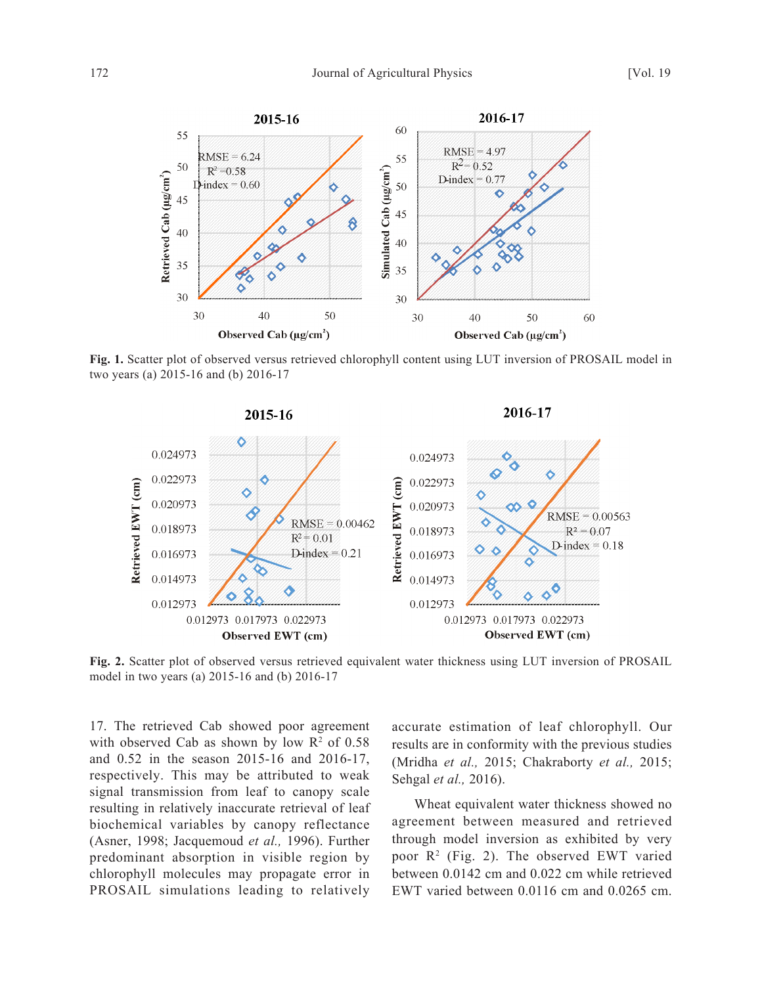

**Fig. 1.** Scatter plot of observed versus retrieved chlorophyll content using LUT inversion of PROSAIL model in two years (a) 2015-16 and (b) 2016-17



**Fig. 2.** Scatter plot of observed versus retrieved equivalent water thickness using LUT inversion of PROSAIL model in two years (a) 2015-16 and (b) 2016-17

17. The retrieved Cab showed poor agreement with observed Cab as shown by low  $\mathbb{R}^2$  of 0.58 and 0.52 in the season 2015-16 and 2016-17, respectively. This may be attributed to weak signal transmission from leaf to canopy scale resulting in relatively inaccurate retrieval of leaf biochemical variables by canopy reflectance (Asner, 1998; Jacquemoud *et al.,* 1996). Further predominant absorption in visible region by chlorophyll molecules may propagate error in PROSAIL simulations leading to relatively

accurate estimation of leaf chlorophyll. Our results are in conformity with the previous studies (Mridha *et al.,* 2015; Chakraborty *et al.,* 2015; Sehgal *et al.,* 2016).

Wheat equivalent water thickness showed no agreement between measured and retrieved through model inversion as exhibited by very poor  $\mathbb{R}^2$  (Fig. 2). The observed EWT varied between 0.0142 cm and 0.022 cm while retrieved EWT varied between 0.0116 cm and 0.0265 cm.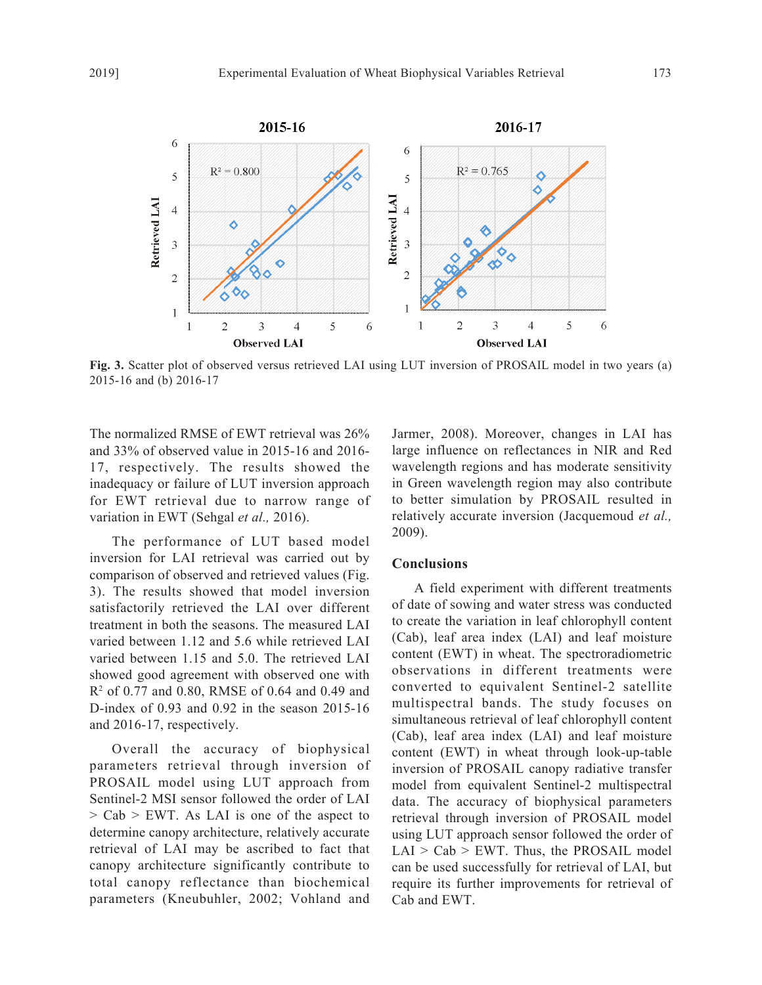

**Fig. 3.** Scatter plot of observed versus retrieved LAI using LUT inversion of PROSAIL model in two years (a) 2015-16 and (b) 2016-17

The normalized RMSE of EWT retrieval was 26% and 33% of observed value in 2015-16 and 2016- 17, respectively. The results showed the inadequacy or failure of LUT inversion approach for EWT retrieval due to narrow range of variation in EWT (Sehgal *et al.,* 2016).

The performance of LUT based model inversion for LAI retrieval was carried out by comparison of observed and retrieved values (Fig. 3). The results showed that model inversion satisfactorily retrieved the LAI over different treatment in both the seasons. The measured LAI varied between 1.12 and 5.6 while retrieved LAI varied between 1.15 and 5.0. The retrieved LAI showed good agreement with observed one with R2 of 0.77 and 0.80, RMSE of 0.64 and 0.49 and D-index of 0.93 and 0.92 in the season 2015-16 and 2016-17, respectively.

Overall the accuracy of biophysical parameters retrieval through inversion of PROSAIL model using LUT approach from Sentinel-2 MSI sensor followed the order of LAI > Cab > EWT. As LAI is one of the aspect to determine canopy architecture, relatively accurate retrieval of LAI may be ascribed to fact that canopy architecture significantly contribute to total canopy reflectance than biochemical parameters (Kneubuhler, 2002; Vohland and

Jarmer, 2008). Moreover, changes in LAI has large influence on reflectances in NIR and Red wavelength regions and has moderate sensitivity in Green wavelength region may also contribute to better simulation by PROSAIL resulted in relatively accurate inversion (Jacquemoud *et al.,* 2009).

## **Conclusions**

A field experiment with different treatments of date of sowing and water stress was conducted to create the variation in leaf chlorophyll content (Cab), leaf area index (LAI) and leaf moisture content (EWT) in wheat. The spectroradiometric observations in different treatments were converted to equivalent Sentinel-2 satellite multispectral bands. The study focuses on simultaneous retrieval of leaf chlorophyll content (Cab), leaf area index (LAI) and leaf moisture content (EWT) in wheat through look-up-table inversion of PROSAIL canopy radiative transfer model from equivalent Sentinel-2 multispectral data. The accuracy of biophysical parameters retrieval through inversion of PROSAIL model using LUT approach sensor followed the order of  $LAI > Cab > EWT$ . Thus, the PROSAIL model can be used successfully for retrieval of LAI, but require its further improvements for retrieval of Cab and EWT.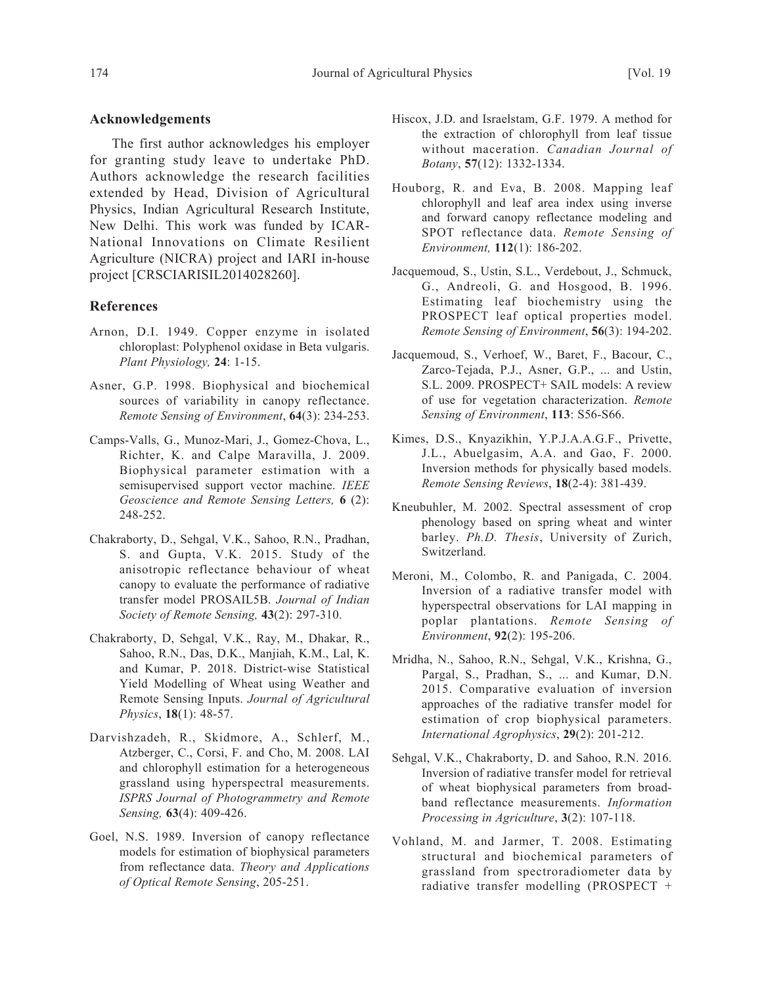#### **Acknowledgements**

The first author acknowledges his employer for granting study leave to undertake PhD. Authors acknowledge the research facilities extended by Head, Division of Agricultural Physics, Indian Agricultural Research Institute, New Delhi. This work was funded by ICAR-National Innovations on Climate Resilient Agriculture (NICRA) project and IARI in-house project [CRSCIARISIL2014028260].

## **References**

- Arnon, D.I. 1949. Copper enzyme in isolated chloroplast: Polyphenol oxidase in Beta vulgaris. *Plant Physiology,* **24**: 1-15.
- Asner, G.P. 1998. Biophysical and biochemical sources of variability in canopy reflectance. *Remote Sensing of Environment*, **64**(3): 234-253.
- Camps-Valls, G., Munoz-Mari, J., Gomez-Chova, L., Richter, K. and Calpe Maravilla, J. 2009. Biophysical parameter estimation with a semisupervised support vector machine. *IEEE Geoscience and Remote Sensing Letters,* **6** (2): 248-252.
- Chakraborty, D., Sehgal, V.K., Sahoo, R.N., Pradhan, S. and Gupta, V.K. 2015. Study of the anisotropic reflectance behaviour of wheat canopy to evaluate the performance of radiative transfer model PROSAIL5B. *Journal of Indian Society of Remote Sensing,* **43**(2): 297-310.
- Chakraborty, D, Sehgal, V.K., Ray, M., Dhakar, R., Sahoo, R.N., Das, D.K., Manjiah, K.M., Lal, K. and Kumar, P. 2018. District-wise Statistical Yield Modelling of Wheat using Weather and Remote Sensing Inputs. *Journal of Agricultural Physics*, **18**(1): 48-57.
- Darvishzadeh, R., Skidmore, A., Schlerf, M., Atzberger, C., Corsi, F. and Cho, M. 2008. LAI and chlorophyll estimation for a heterogeneous grassland using hyperspectral measurements. *ISPRS Journal of Photogrammetry and Remote Sensing,* **63**(4): 409-426.
- Goel, N.S. 1989. Inversion of canopy reflectance models for estimation of biophysical parameters from reflectance data. *Theory and Applications of Optical Remote Sensing*, 205-251.
- Hiscox, J.D. and Israelstam, G.F. 1979. A method for the extraction of chlorophyll from leaf tissue without maceration. *Canadian Journal of Botany*, **57**(12): 1332-1334.
- Houborg, R. and Eva, B. 2008. Mapping leaf chlorophyll and leaf area index using inverse and forward canopy reflectance modeling and SPOT reflectance data. *Remote Sensing of Environment,* **112**(1): 186-202.
- Jacquemoud, S., Ustin, S.L., Verdebout, J., Schmuck, G., Andreoli, G. and Hosgood, B. 1996. Estimating leaf biochemistry using the PROSPECT leaf optical properties model. *Remote Sensing of Environment*, **56**(3): 194-202.
- Jacquemoud, S., Verhoef, W., Baret, F., Bacour, C., Zarco-Tejada, P.J., Asner, G.P., ... and Ustin, S.L. 2009. PROSPECT+ SAIL models: A review of use for vegetation characterization. *Remote Sensing of Environment*, **113**: S56-S66.
- Kimes, D.S., Knyazikhin, Y.P.J.A.A.G.F., Privette, J.L., Abuelgasim, A.A. and Gao, F. 2000. Inversion methods for physically based models. *Remote Sensing Reviews*, **18**(2-4): 381-439.
- Kneubuhler, M. 2002. Spectral assessment of crop phenology based on spring wheat and winter barley. *Ph.D. Thesis*, University of Zurich, Switzerland.
- Meroni, M., Colombo, R. and Panigada, C. 2004. Inversion of a radiative transfer model with hyperspectral observations for LAI mapping in poplar plantations. *Remote Sensing of Environment*, **92**(2): 195-206.
- Mridha, N., Sahoo, R.N., Sehgal, V.K., Krishna, G., Pargal, S., Pradhan, S., ... and Kumar, D.N. 2015. Comparative evaluation of inversion approaches of the radiative transfer model for estimation of crop biophysical parameters. *International Agrophysics*, **29**(2): 201-212.
- Sehgal, V.K., Chakraborty, D. and Sahoo, R.N. 2016. Inversion of radiative transfer model for retrieval of wheat biophysical parameters from broadband reflectance measurements. *Information Processing in Agriculture*, **3**(2): 107-118.
- Vohland, M. and Jarmer, T. 2008. Estimating structural and biochemical parameters of grassland from spectroradiometer data by radiative transfer modelling (PROSPECT +